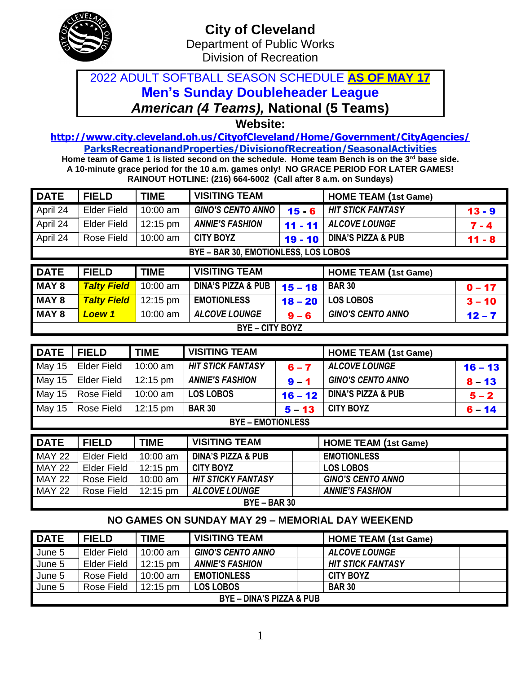

## 2022 ADULT SOFTBALL SEASON SCHEDULE **AS OF MAY 17 Men's Sunday Doubleheader League** *American (4 Teams),* **National (5 Teams)**

**Website:** 

**<http://www.city.cleveland.oh.us/CityofCleveland/Home/Government/CityAgencies/> ParksRecreationandProperties/DivisionofRecreation/SeasonalActivities**

**Home team of Game 1 is listed second on the schedule. Home team Bench is on the 3rd base side. A 10-minute grace period for the 10 a.m. games only! NO GRACE PERIOD FOR LATER GAMES! RAINOUT HOTLINE: (216) 664-6002 (Call after 8 a.m. on Sundays)**

| <b>DATE</b>                          | <b>FIELD</b>       | <b>TIME</b> | <b>VISITING TEAM</b>                 |           | <b>HOME TEAM (1st Game)</b>   |          |  |  |
|--------------------------------------|--------------------|-------------|--------------------------------------|-----------|-------------------------------|----------|--|--|
| April 24                             | <b>Elder Field</b> | 10:00 am    | <b>GINO'S CENTO ANNO</b><br>$15 - 6$ |           | <b>HIT STICK FANTASY</b>      | $13 - 9$ |  |  |
| April 24                             | <b>Elder Field</b> | 12:15 pm    | <b>ANNIE'S FASHION</b><br>$11 - 11$  |           | <b>ALCOVE LOUNGE</b>          | $7 - 4$  |  |  |
| April 24                             | Rose Field         | 10:00 am    | <b>CITY BOYZ</b><br>$19 - 10$        |           | <b>DINA'S PIZZA &amp; PUB</b> | $11 - 8$ |  |  |
| BYE - BAR 30, EMOTIONLESS, LOS LOBOS |                    |             |                                      |           |                               |          |  |  |
|                                      |                    |             |                                      |           |                               |          |  |  |
| <b>DATE</b>                          | <b>FIELD</b>       | <b>TIME</b> | <b>VISITING TEAM</b>                 |           | <b>HOME TEAM (1st Game)</b>   |          |  |  |
| MAY 8                                | <b>Talty Field</b> | 10:00 am    | <b>DINA'S PIZZA &amp; PUB</b>        | $15 - 18$ | <b>BAR 30</b>                 | $0 - 17$ |  |  |
| MAY 8                                | <b>Talty Field</b> | 12:15 pm    | <b>EMOTIONLESS</b>                   | $18 - 20$ | <b>LOS LOBOS</b>              | $3 - 10$ |  |  |
| MAY 8                                | <b>Loew 1</b>      | 10:00 am    | <b>ALCOVE LOUNGE</b>                 | $9 - 6$   | <b>GINO'S CENTO ANNO</b>      | $12 - 7$ |  |  |

| <b>DATE</b>              | <b>FIELD</b>       | <b>TIME</b>        | <b>VISITING TEAM</b>     |           | <b>HOME TEAM (1st Game)</b>   |           |  |
|--------------------------|--------------------|--------------------|--------------------------|-----------|-------------------------------|-----------|--|
| May 15                   | <b>Elder Field</b> | 10:00 am           | <b>HIT STICK FANTASY</b> | $6 - 7$   | <b>ALCOVE LOUNGE</b>          | $16 - 13$ |  |
| May 15                   | <b>Elder Field</b> | 12:15 pm           | <b>ANNIE'S FASHION</b>   | $9 - 1$   | <b>GINO'S CENTO ANNO</b>      | $8 - 13$  |  |
| May 15                   | Rose Field         | 10:00 am           | <b>LOS LOBOS</b>         | $16 - 12$ | <b>DINA'S PIZZA &amp; PUB</b> | $5 - 2$   |  |
| May 15                   | Rose Field         | $12:15 \text{ pm}$ | <b>BAR 30</b>            | $5 - 13$  | <b>CITY BOYZ</b>              | $6 - 14$  |  |
| <b>BYE – EMOTIONLESS</b> |                    |                    |                          |           |                               |           |  |

| <b>DATE</b>    | <b>FIELD</b> | <b>TIME</b>        | <b>VISITING TEAM</b>          | <b>HOME TEAM (1st Game)</b> |  |  |
|----------------|--------------|--------------------|-------------------------------|-----------------------------|--|--|
| <b>MAY 22</b>  | Elder Field  | 10:00 am           | <b>DINA'S PIZZA &amp; PUB</b> | <b>EMOTIONLESS</b>          |  |  |
| <b>MAY 22</b>  | Elder Field  | $12:15 \text{ pm}$ | <b>CITY BOYZ</b>              | <b>LOS LOBOS</b>            |  |  |
| <b>MAY 22</b>  | Rose Field   | $10:00$ am         | <b>HIT STICKY FANTASY</b>     | <b>GINO'S CENTO ANNO</b>    |  |  |
| <b>MAY 22</b>  | Rose Field   | $12:15 \text{ pm}$ | <b>ALCOVE LOUNGE</b>          | <b>ANNIE'S FASHION</b>      |  |  |
| $BYE - BAR 30$ |              |                    |                               |                             |  |  |

## **NO GAMES ON SUNDAY MAY 29 – MEMORIAL DAY WEEKEND**

| <b>DATE</b>                         | <b>FIELD</b>       | <b>TIME</b>        | <b>VISITING TEAM</b>     | <b>HOME TEAM (1st Game)</b> |  |  |  |
|-------------------------------------|--------------------|--------------------|--------------------------|-----------------------------|--|--|--|
| June 5                              | <b>Elder Field</b> | $10:00$ am         | <b>GINO'S CENTO ANNO</b> | <b>ALCOVE LOUNGE</b>        |  |  |  |
| June 5                              | Elder Field        | $12:15 \text{ pm}$ | <b>ANNIE'S FASHION</b>   | <b>HIT STICK FANTASY</b>    |  |  |  |
| June 5                              | Rose Field         | $10:00$ am         | <b>EMOTIONLESS</b>       | <b>CITY BOYZ</b>            |  |  |  |
| June 5                              | Rose Field         | $12:15 \text{ pm}$ | <b>LOS LOBOS</b>         | <b>BAR 30</b>               |  |  |  |
| <b>BYE - DINA'S PIZZA &amp; PUB</b> |                    |                    |                          |                             |  |  |  |